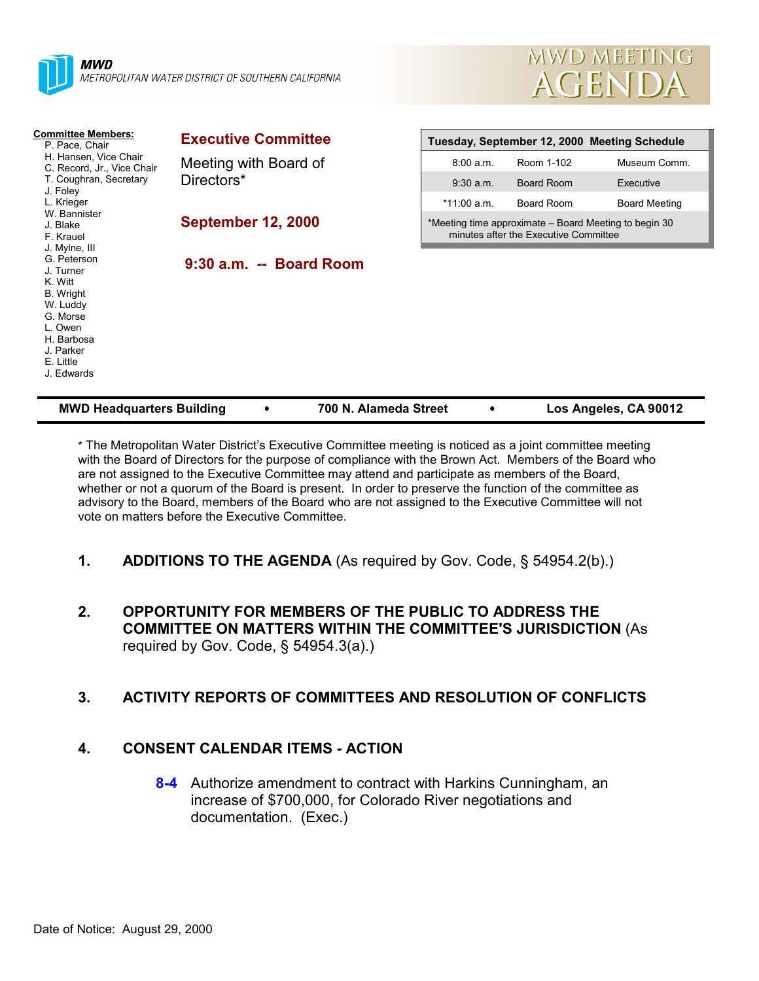



| <b>Committee Members:</b><br>P. Pace, Chair<br>H. Hansen, Vice Chair<br>C. Record, Jr., Vice Chair<br>T. Coughran, Secretary<br>J. Foley                                                            | <b>Executive Committee</b>          | Tuesday, September 12, 2000 Meeting Schedule                                                   |            |                      |  |
|-----------------------------------------------------------------------------------------------------------------------------------------------------------------------------------------------------|-------------------------------------|------------------------------------------------------------------------------------------------|------------|----------------------|--|
|                                                                                                                                                                                                     | Meeting with Board of<br>Directors* | 8:00 a.m.                                                                                      | Room 1-102 | Museum Comm.         |  |
|                                                                                                                                                                                                     |                                     | $9:30$ a.m.                                                                                    | Board Room | Executive            |  |
| L. Krieger                                                                                                                                                                                          |                                     | *11:00 a.m.                                                                                    | Board Room | <b>Board Meeting</b> |  |
| W. Bannister<br>J. Blake<br>F. Krauel<br>J. Mylne, III<br>G. Peterson<br>J. Turner<br>K. Witt<br>B. Wright<br>W. Luddy<br>G. Morse<br>L. Owen<br>H. Barbosa<br>J. Parker<br>E. Little<br>J. Edwards | <b>September 12, 2000</b>           | *Meeting time approximate – Board Meeting to begin 30<br>minutes after the Executive Committee |            |                      |  |
|                                                                                                                                                                                                     | $9:30$ a.m. $-$ Board Room          |                                                                                                |            |                      |  |

| <b>MWD Headquarters Building</b> | 700 N. Alameda Street | Los Angeles, CA 90012 |
|----------------------------------|-----------------------|-----------------------|
|                                  |                       |                       |

\* The Metropolitan Water District's Executive Committee meeting is noticed as a joint committee meeting with the Board of Directors for the purpose of compliance with the Brown Act. Members of the Board who are not assigned to the Executive Committee may attend and participate as members of the Board, whether or not a quorum of the Board is present. In order to preserve the function of the committee as advisory to the Board, members of the Board who are not assigned to the Executive Committee will not vote on matters before the Executive Committee.

### **1. ADDITIONS TO THE AGENDA** (As required by Gov. Code, § 54954.2(b).)

**2. OPPORTUNITY FOR MEMBERS OF THE PUBLIC TO ADDRESS THE COMMITTEE ON MATTERS WITHIN THE COMMITTEE'S JURISDICTION** (As required by Gov. Code,  $\S$  54954.3(a).)

### **3. ACTIVITY REPORTS OF COMMITTEES AND RESOLUTION OF CONFLICTS**

### **4. CONSENT CALENDAR ITEMS - ACTION**

**8-4** Authorize amendment to contract with Harkins Cunningham, an increase of \$700,000, for Colorado River negotiations and documentation. (Exec.)